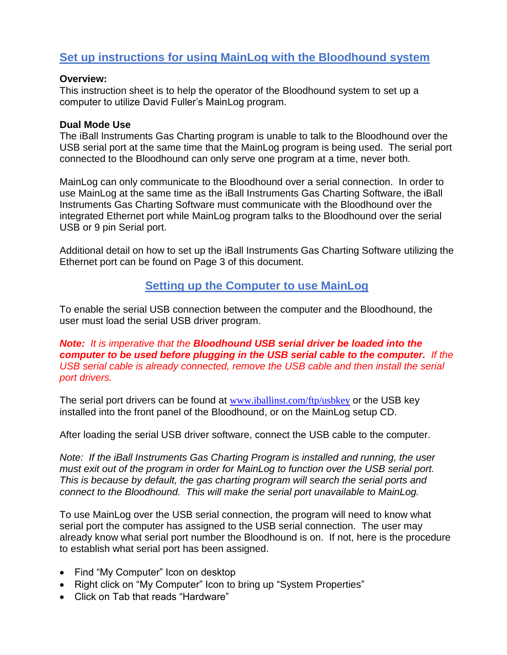## **Set up instructions for using MainLog with the Bloodhound system**

#### **Overview:**

This instruction sheet is to help the operator of the Bloodhound system to set up a computer to utilize David Fuller's MainLog program.

#### **Dual Mode Use**

The iBall Instruments Gas Charting program is unable to talk to the Bloodhound over the USB serial port at the same time that the MainLog program is being used. The serial port connected to the Bloodhound can only serve one program at a time, never both.

MainLog can only communicate to the Bloodhound over a serial connection. In order to use MainLog at the same time as the iBall Instruments Gas Charting Software, the iBall Instruments Gas Charting Software must communicate with the Bloodhound over the integrated Ethernet port while MainLog program talks to the Bloodhound over the serial USB or 9 pin Serial port.

Additional detail on how to set up the iBall Instruments Gas Charting Software utilizing the Ethernet port can be found on Page 3 of this document.

## **Setting up the Computer to use MainLog**

To enable the serial USB connection between the computer and the Bloodhound, the user must load the serial USB driver program.

*Note: It is imperative that the Bloodhound USB serial driver be loaded into the computer to be used before plugging in the USB serial cable to the computer. If the USB serial cable is already connected, remove the USB cable and then install the serial port drivers.*

The serial port drivers can be found at [www.iballinst.com/ftp/usbkey](http://www.iballinst.com/ftp/usbkey) or the USB key installed into the front panel of the Bloodhound, or on the MainLog setup CD.

After loading the serial USB driver software, connect the USB cable to the computer.

*Note: If the iBall Instruments Gas Charting Program is installed and running, the user must exit out of the program in order for MainLog to function over the USB serial port. This is because by default, the gas charting program will search the serial ports and connect to the Bloodhound. This will make the serial port unavailable to MainLog.*

To use MainLog over the USB serial connection, the program will need to know what serial port the computer has assigned to the USB serial connection. The user may already know what serial port number the Bloodhound is on. If not, here is the procedure to establish what serial port has been assigned.

- Find "My Computer" Icon on desktop
- Right click on "My Computer" Icon to bring up "System Properties"
- Click on Tab that reads "Hardware"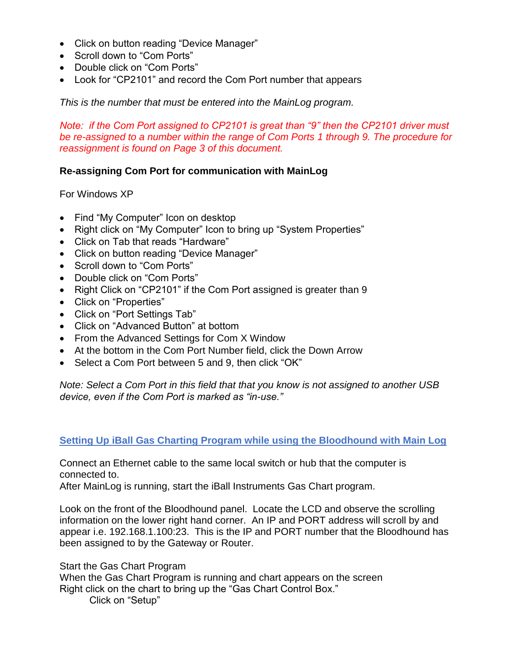- Click on button reading "Device Manager"
- Scroll down to "Com Ports"
- Double click on "Com Ports"
- Look for "CP2101" and record the Com Port number that appears

*This is the number that must be entered into the MainLog program.*

*Note: if the Com Port assigned to CP2101 is great than "9" then the CP2101 driver must be re-assigned to a number within the range of Com Ports 1 through 9. The procedure for reassignment is found on Page 3 of this document.*

### **Re-assigning Com Port for communication with MainLog**

For Windows XP

- Find "My Computer" Icon on desktop
- Right click on "My Computer" Icon to bring up "System Properties"
- Click on Tab that reads "Hardware"
- Click on button reading "Device Manager"
- Scroll down to "Com Ports"
- Double click on "Com Ports"
- Right Click on "CP2101" if the Com Port assigned is greater than 9
- Click on "Properties"
- Click on "Port Settings Tab"
- Click on "Advanced Button" at bottom
- From the Advanced Settings for Com X Window
- At the bottom in the Com Port Number field, click the Down Arrow
- Select a Com Port between 5 and 9, then click "OK"

*Note: Select a Com Port in this field that that you know is not assigned to another USB device, even if the Com Port is marked as "in-use."*

### **Setting Up iBall Gas Charting Program while using the Bloodhound with Main Log**

Connect an Ethernet cable to the same local switch or hub that the computer is connected to.

After MainLog is running, start the iBall Instruments Gas Chart program.

Look on the front of the Bloodhound panel. Locate the LCD and observe the scrolling information on the lower right hand corner. An IP and PORT address will scroll by and appear i.e. 192.168.1.100:23. This is the IP and PORT number that the Bloodhound has been assigned to by the Gateway or Router.

Start the Gas Chart Program

When the Gas Chart Program is running and chart appears on the screen Right click on the chart to bring up the "Gas Chart Control Box."

Click on "Setup"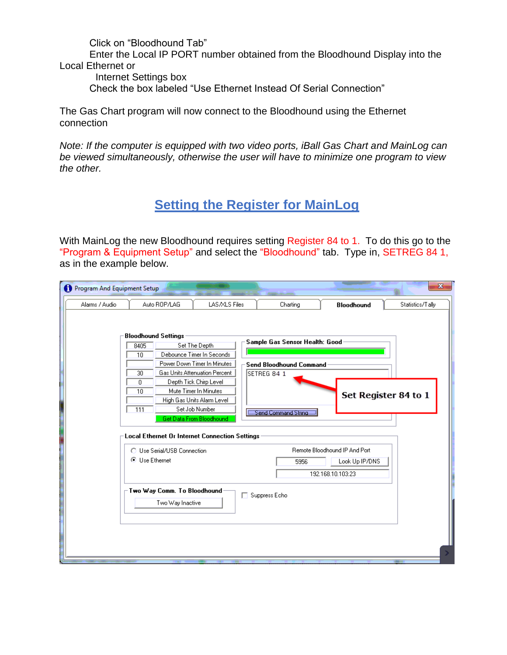Click on "Bloodhound Tab"

Enter the Local IP PORT number obtained from the Bloodhound Display into the Local Ethernet or

Internet Settings box

Check the box labeled "Use Ethernet Instead Of Serial Connection"

The Gas Chart program will now connect to the Bloodhound using the Ethernet connection

*Note: If the computer is equipped with two video ports, iBall Gas Chart and MainLog can be viewed simultaneously, otherwise the user will have to minimize one program to view the other.*

# **Setting the Register for MainLog**

With MainLog the new Bloodhound requires setting Register 84 to 1. To do this go to the "Program & Equipment Setup" and select the "Bloodhound" tab. Type in, SETREG 84 1, as in the example below.

| Program And Equipment Setup |                                                                                                                           |                                                                                                                                                                                                                                           |                                                                                                        |                      | $\mathbf{x}$     |
|-----------------------------|---------------------------------------------------------------------------------------------------------------------------|-------------------------------------------------------------------------------------------------------------------------------------------------------------------------------------------------------------------------------------------|--------------------------------------------------------------------------------------------------------|----------------------|------------------|
| Alarms / Audio              | Auto ROP/LAG                                                                                                              | LAS/XLS Files                                                                                                                                                                                                                             | Charting                                                                                               | <b>Bloodhound</b>    | Statistics/Tally |
| l                           | <b>Bloodhound Settings</b><br>8405<br>10<br>30<br>0<br>10<br>111<br><b>Local Ethernet Or Internet Connection Settings</b> | Set The Depth<br>Debounce Timer In Seconds<br>Power Down Timer In Minutes<br>Gas Units Attenuation Percent<br>Depth Tick Chirp Level<br>Mute Timer In Minutes<br>High Gas Units Alarm Level<br>Set Job Number<br>Get Data From Bloodhound | Sample Gas Sensor Health: Good<br><b>Send Bloodhound Command</b><br>SETREG 84 1<br>Send Command String | Set Register 84 to 1 |                  |
|                             | ◯ Use Serial/USB Connection                                                                                               |                                                                                                                                                                                                                                           | Remote Bloodhound IP And Port                                                                          |                      |                  |
|                             | <b>O</b> Use Ethernet                                                                                                     |                                                                                                                                                                                                                                           | 5956                                                                                                   | Look Up IP/DNS       |                  |
|                             |                                                                                                                           |                                                                                                                                                                                                                                           |                                                                                                        | 192.168.10.103:23    |                  |
|                             | Two Way Comm. To Bloodhound<br>Two Way Inactive                                                                           |                                                                                                                                                                                                                                           | □ Suppress Echo                                                                                        |                      |                  |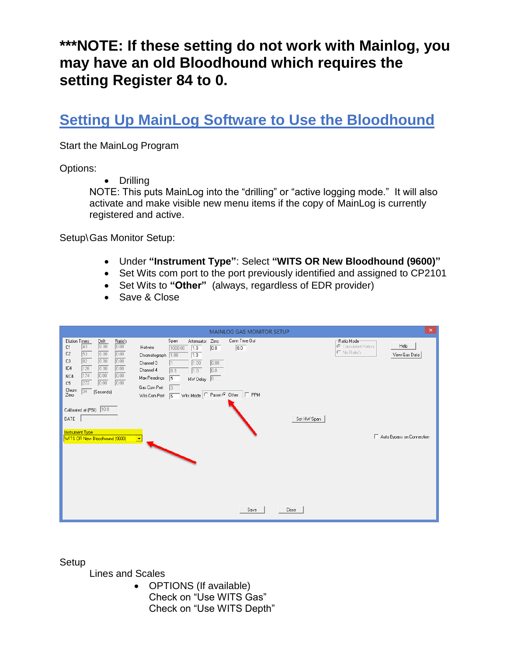# **\*\*\*NOTE: If these setting do not work with Mainlog, you may have an old Bloodhound which requires the setting Register 84 to 0.**

# **Setting Up MainLog Software to Use the Bloodhound**

Start the MainLog Program

Options:

• Drilling

NOTE: This puts MainLog into the "drilling" or "active logging mode." It will also activate and make visible new menu items if the copy of MainLog is currently registered and active.

Setup\Gas Monitor Setup:

- Under **"Instrument Type"**: Select **"WITS OR New Bloodhound (9600)"**
- Set Wits com port to the port previously identified and assigned to CP2101
- Set Wits to "Other" (always, regardless of EDR provider)
- Save & Close

|                                                                                                                                                                                                                                                                                                                                                                                             | MAINLOG GAS MONITOR SETUP                                                                                                                                                                                                                                                                                                                                                                              | $\mathsf{x}$                                                                                                |
|---------------------------------------------------------------------------------------------------------------------------------------------------------------------------------------------------------------------------------------------------------------------------------------------------------------------------------------------------------------------------------------------|--------------------------------------------------------------------------------------------------------------------------------------------------------------------------------------------------------------------------------------------------------------------------------------------------------------------------------------------------------------------------------------------------------|-------------------------------------------------------------------------------------------------------------|
| <b>Elution Times</b><br>Ratio's<br>Drift<br>0.00<br>0.00<br>43<br>C1<br>C2<br>53<br>0.00<br>0.00<br>$\sqrt{82}$<br>0.00<br>C <sub>3</sub><br>0.00<br>126<br>0.00<br>IC4<br>0.00<br>0.00<br>174<br>0.00<br>NC4<br>272<br>0.00<br>0.00<br>C <sub>5</sub><br>Chrom<br>$\sqrt{34}$<br>(Seconds)<br>Zero<br>Calibrated at (PSI) 10.0<br>DATE<br>Instrument Type<br>WITS OR New Bloodhound (9600) | Conn Time Out<br>Span<br>Zero<br>Attenuator<br>Hotwire<br>$\boxed{0.0}$<br>$\overline{0.0}$<br>1.0<br>1000.00<br>Chromatograph 1.00<br>1.0<br>0.00<br>1.00<br>Channel 3<br>Channel 4<br>0.0<br>$\overline{0.3}$<br>1.0<br>Max Readings<br>15<br>$HW$ Delay $\boxed{0}$<br>Gas Com Port<br>13.<br>Wits Mode C Pason C Other<br>$\Box$ PPM<br>Wits Com Port<br>5<br>Set HW Span<br>$\mathbf{\mathbf{r}}$ | - Ratio Mode-<br>Help<br>C Calculated Ratio's<br>C No Ratio's<br>View Gas Data<br>Auto Bypass on Connection |
|                                                                                                                                                                                                                                                                                                                                                                                             | Save<br>Close                                                                                                                                                                                                                                                                                                                                                                                          |                                                                                                             |

**Setup** 

Lines and Scales

• OPTIONS (If available) Check on "Use WITS Gas" Check on "Use WITS Depth"